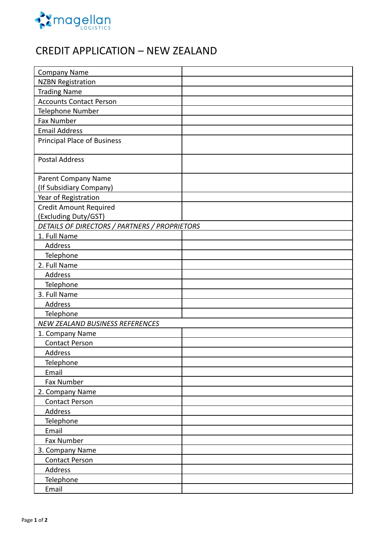

# CREDIT APPLICATION – NEW ZEALAND

| <b>Company Name</b>                           |  |  |
|-----------------------------------------------|--|--|
| <b>NZBN Registration</b>                      |  |  |
| <b>Trading Name</b>                           |  |  |
| <b>Accounts Contact Person</b>                |  |  |
| Telephone Number                              |  |  |
| Fax Number                                    |  |  |
| <b>Email Address</b>                          |  |  |
| <b>Principal Place of Business</b>            |  |  |
| <b>Postal Address</b>                         |  |  |
| Parent Company Name                           |  |  |
| (If Subsidiary Company)                       |  |  |
| Year of Registration                          |  |  |
| Credit Amount Required                        |  |  |
| <b>Excluding Duty/GST)</b>                    |  |  |
| DETAILS OF DIRECTORS / PARTNERS / PROPRIETORS |  |  |
| 1. Full Name                                  |  |  |
| Address                                       |  |  |
| Telephone                                     |  |  |
| 2. Full Name                                  |  |  |
| Address                                       |  |  |
| Telephone                                     |  |  |
| 3. Full Name                                  |  |  |
| Address                                       |  |  |
| Telephone                                     |  |  |
| NEW ZEALAND BUSINESS REFERENCES               |  |  |
| 1. Company Name                               |  |  |
| <b>Contact Person</b>                         |  |  |
| Address                                       |  |  |
| Telephone                                     |  |  |
| Email                                         |  |  |
| Fax Number                                    |  |  |
| 2. Company Name                               |  |  |
| <b>Contact Person</b>                         |  |  |
| Address                                       |  |  |
| Telephone                                     |  |  |
| Email                                         |  |  |
| Fax Number                                    |  |  |
| 3. Company Name                               |  |  |
| <b>Contact Person</b>                         |  |  |
| Address                                       |  |  |
| Telephone                                     |  |  |
| Email                                         |  |  |